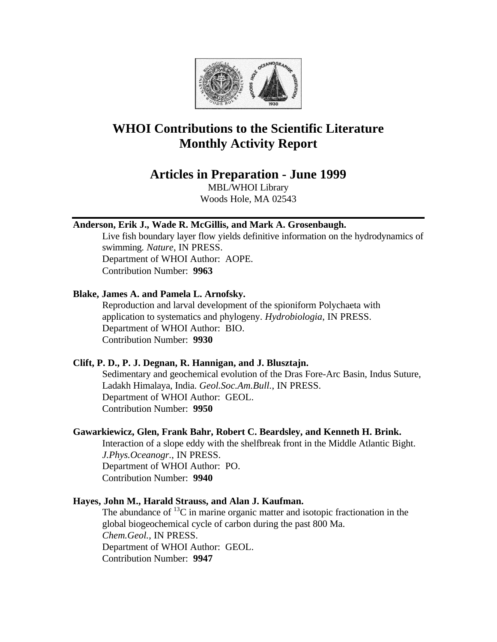

# **WHOI Contributions to the Scientific Literature Monthly Activity Report**

# **Articles in Preparation - June 1999**

MBL/WHOI Library Woods Hole, MA 02543

# **Anderson, Erik J., Wade R. McGillis, and Mark A. Grosenbaugh.**

Live fish boundary layer flow yields definitive information on the hydrodynamics of swimming. *Nature*, IN PRESS. Department of WHOI Author: AOPE. Contribution Number: **9963**

# **Blake, James A. and Pamela L. Arnofsky.**

Reproduction and larval development of the spioniform Polychaeta with application to systematics and phylogeny. *Hydrobiologia*, IN PRESS. Department of WHOI Author: BIO. Contribution Number: **9930**

# **Clift, P. D., P. J. Degnan, R. Hannigan, and J. Blusztajn.**

Sedimentary and geochemical evolution of the Dras Fore-Arc Basin, Indus Suture, Ladakh Himalaya, India. *Geol.Soc.Am.Bull.*, IN PRESS. Department of WHOI Author: GEOL. Contribution Number: **9950**

# **Gawarkiewicz, Glen, Frank Bahr, Robert C. Beardsley, and Kenneth H. Brink.**

Interaction of a slope eddy with the shelfbreak front in the Middle Atlantic Bight. *J.Phys.Oceanogr.*, IN PRESS. Department of WHOI Author: PO. Contribution Number: **9940**

# **Hayes, John M., Harald Strauss, and Alan J. Kaufman.**

The abundance of  ${}^{13}C$  in marine organic matter and isotopic fractionation in the global biogeochemical cycle of carbon during the past 800 Ma. *Chem.Geol.*, IN PRESS. Department of WHOI Author: GEOL. Contribution Number: **9947**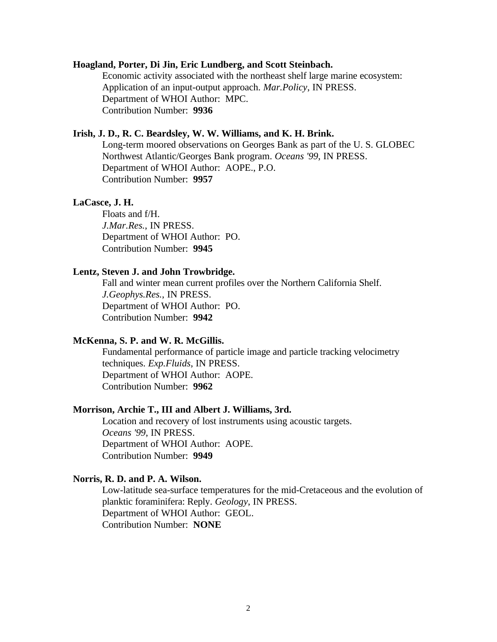#### **Hoagland, Porter, Di Jin, Eric Lundberg, and Scott Steinbach.**

Economic activity associated with the northeast shelf large marine ecosystem: Application of an input-output approach. *Mar.Policy*, IN PRESS. Department of WHOI Author: MPC. Contribution Number: **9936**

# **Irish, J. D., R. C. Beardsley, W. W. Williams, and K. H. Brink.**

Long-term moored observations on Georges Bank as part of the U. S. GLOBEC Northwest Atlantic/Georges Bank program. *Oceans '99*, IN PRESS. Department of WHOI Author: AOPE., P.O. Contribution Number: **9957**

#### **LaCasce, J. H.**

Floats and f/H. *J.Mar.Res.*, IN PRESS. Department of WHOI Author: PO. Contribution Number: **9945**

#### **Lentz, Steven J. and John Trowbridge.**

Fall and winter mean current profiles over the Northern California Shelf. *J.Geophys.Res.*, IN PRESS. Department of WHOI Author: PO. Contribution Number: **9942**

#### **McKenna, S. P. and W. R. McGillis.**

Fundamental performance of particle image and particle tracking velocimetry techniques. *Exp.Fluids*, IN PRESS. Department of WHOI Author: AOPE. Contribution Number: **9962**

#### **Morrison, Archie T., III and Albert J. Williams, 3rd.**

Location and recovery of lost instruments using acoustic targets. *Oceans '99*, IN PRESS. Department of WHOI Author: AOPE. Contribution Number: **9949**

# **Norris, R. D. and P. A. Wilson.**

Low-latitude sea-surface temperatures for the mid-Cretaceous and the evolution of planktic foraminifera: Reply. *Geology*, IN PRESS. Department of WHOI Author: GEOL. Contribution Number: **NONE**